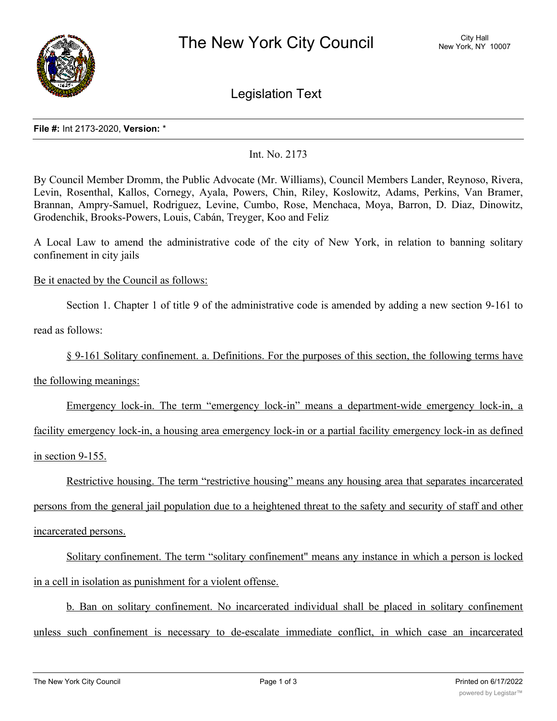

Legislation Text

## **File #:** Int 2173-2020, **Version:** \*

## Int. No. 2173

By Council Member Dromm, the Public Advocate (Mr. Williams), Council Members Lander, Reynoso, Rivera, Levin, Rosenthal, Kallos, Cornegy, Ayala, Powers, Chin, Riley, Koslowitz, Adams, Perkins, Van Bramer, Brannan, Ampry-Samuel, Rodriguez, Levine, Cumbo, Rose, Menchaca, Moya, Barron, D. Diaz, Dinowitz, Grodenchik, Brooks-Powers, Louis, Cabán, Treyger, Koo and Feliz

A Local Law to amend the administrative code of the city of New York, in relation to banning solitary confinement in city jails

## Be it enacted by the Council as follows:

Section 1. Chapter 1 of title 9 of the administrative code is amended by adding a new section 9-161 to

read as follows:

§ 9-161 Solitary confinement. a. Definitions. For the purposes of this section, the following terms have

the following meanings:

Emergency lock-in. The term "emergency lock-in" means a department-wide emergency lock-in, a

facility emergency lock-in, a housing area emergency lock-in or a partial facility emergency lock-in as defined in section 9-155.

Restrictive housing. The term "restrictive housing" means any housing area that separates incarcerated persons from the general jail population due to a heightened threat to the safety and security of staff and other incarcerated persons.

Solitary confinement. The term "solitary confinement" means any instance in which a person is locked in a cell in isolation as punishment for a violent offense.

b. Ban on solitary confinement. No incarcerated individual shall be placed in solitary confinement unless such confinement is necessary to de-escalate immediate conflict, in which case an incarcerated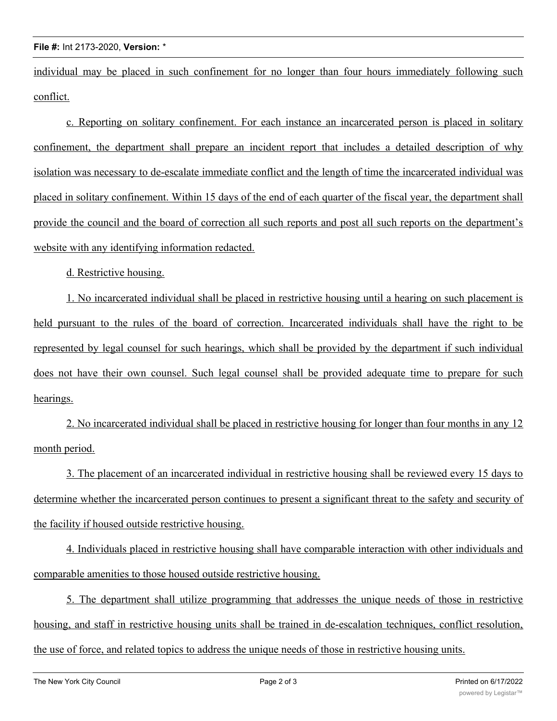individual may be placed in such confinement for no longer than four hours immediately following such conflict.

c. Reporting on solitary confinement. For each instance an incarcerated person is placed in solitary confinement, the department shall prepare an incident report that includes a detailed description of why isolation was necessary to de-escalate immediate conflict and the length of time the incarcerated individual was placed in solitary confinement. Within 15 days of the end of each quarter of the fiscal year, the department shall provide the council and the board of correction all such reports and post all such reports on the department's website with any identifying information redacted.

d. Restrictive housing.

1. No incarcerated individual shall be placed in restrictive housing until a hearing on such placement is held pursuant to the rules of the board of correction. Incarcerated individuals shall have the right to be represented by legal counsel for such hearings, which shall be provided by the department if such individual does not have their own counsel. Such legal counsel shall be provided adequate time to prepare for such hearings.

2. No incarcerated individual shall be placed in restrictive housing for longer than four months in any 12 month period.

3. The placement of an incarcerated individual in restrictive housing shall be reviewed every 15 days to determine whether the incarcerated person continues to present a significant threat to the safety and security of the facility if housed outside restrictive housing.

4. Individuals placed in restrictive housing shall have comparable interaction with other individuals and comparable amenities to those housed outside restrictive housing.

5. The department shall utilize programming that addresses the unique needs of those in restrictive housing, and staff in restrictive housing units shall be trained in de-escalation techniques, conflict resolution, the use of force, and related topics to address the unique needs of those in restrictive housing units.